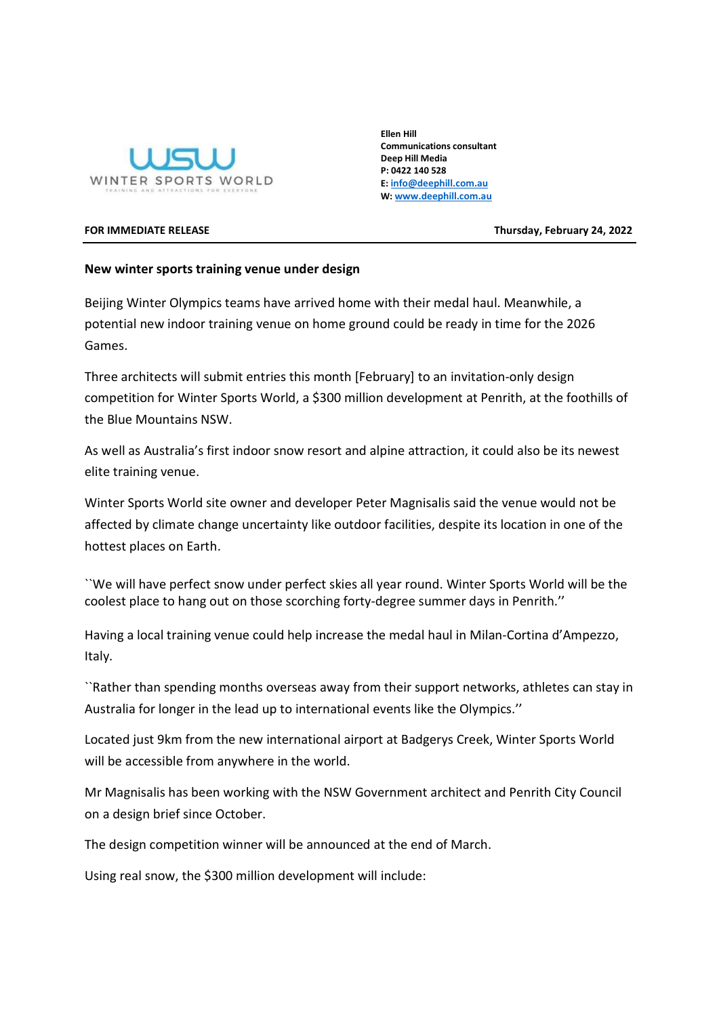

Ellen Hill Communications consultant Deep Hill Media P: 0422 140 528 E: info@deephill.com.au W: www.deephill.com.au

FOR IMMEDIATE RELEASE Thursday, February 24, 2022

## New winter sports training venue under design

Beijing Winter Olympics teams have arrived home with their medal haul. Meanwhile, a potential new indoor training venue on home ground could be ready in time for the 2026 Games.

Three architects will submit entries this month [February] to an invitation-only design competition for Winter Sports World, a \$300 million development at Penrith, at the foothills of the Blue Mountains NSW.

As well as Australia's first indoor snow resort and alpine attraction, it could also be its newest elite training venue.

Winter Sports World site owner and developer Peter Magnisalis said the venue would not be affected by climate change uncertainty like outdoor facilities, despite its location in one of the hottest places on Earth.

``We will have perfect snow under perfect skies all year round. Winter Sports World will be the coolest place to hang out on those scorching forty-degree summer days in Penrith.''

Having a local training venue could help increase the medal haul in Milan-Cortina d'Ampezzo, Italy.

``Rather than spending months overseas away from their support networks, athletes can stay in Australia for longer in the lead up to international events like the Olympics.''

Located just 9km from the new international airport at Badgerys Creek, Winter Sports World will be accessible from anywhere in the world.

Mr Magnisalis has been working with the NSW Government architect and Penrith City Council on a design brief since October.

The design competition winner will be announced at the end of March.

Using real snow, the \$300 million development will include: